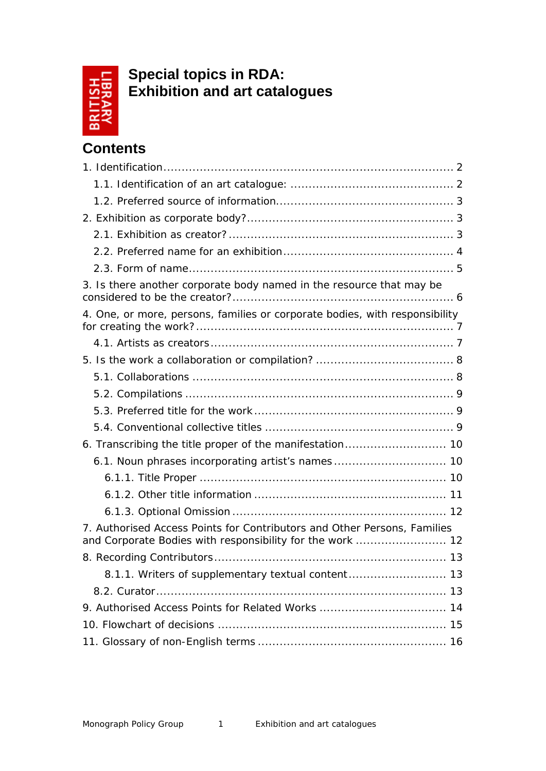

**Special topics in RDA: Exhibition and art catalogues**

# **Contents**

| 3. Is there another corporate body named in the resource that may be        |
|-----------------------------------------------------------------------------|
| 4. One, or more, persons, families or corporate bodies, with responsibility |
|                                                                             |
|                                                                             |
|                                                                             |
|                                                                             |
|                                                                             |
|                                                                             |
| 6. Transcribing the title proper of the manifestation 10                    |
| 6.1. Noun phrases incorporating artist's names 10                           |
|                                                                             |
|                                                                             |
|                                                                             |
| 7. Authorised Access Points for Contributors and Other Persons, Families    |
|                                                                             |
| 8.1.1. Writers of supplementary textual content 13                          |
|                                                                             |
| 9. Authorised Access Points for Related Works  14                           |
|                                                                             |
|                                                                             |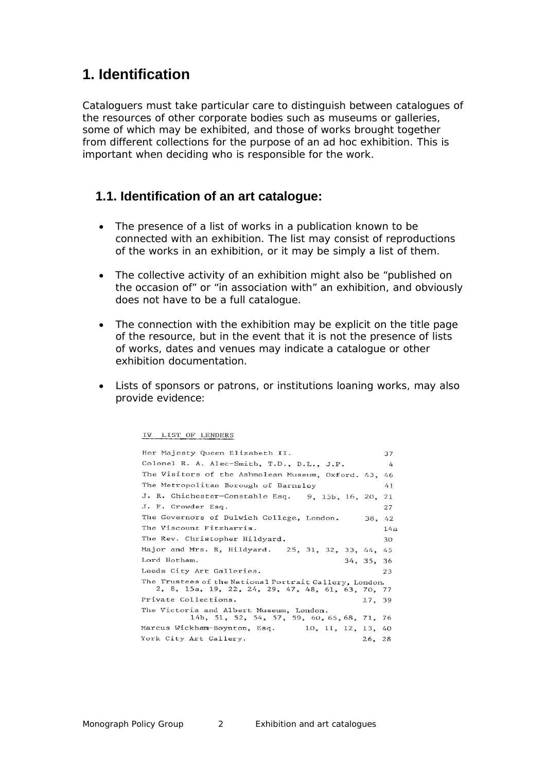# <span id="page-1-0"></span>**1. Identification**

Cataloguers must take particular care to distinguish between catalogues of the resources of other corporate bodies such as museums or galleries, some of which may be exhibited, and those of works brought together from different collections for the purpose of an ad hoc exhibition. This is important when deciding who is responsible for the work.

#### <span id="page-1-1"></span>**1.1. Identification of an art catalogue:**

- The presence of a list of works in a publication known to be connected with an exhibition. The list may consist of reproductions of the works in an exhibition, or it may be simply a list of them.
- The collective activity of an exhibition might also be *"published on the occasion of"* or *"in association with"* an exhibition, and obviously does not have to be a full catalogue.
- The connection with the exhibition may be explicit on the title page of the resource, but in the event that it is not the presence of lists of works, dates and venues may indicate a catalogue or other exhibition documentation.
- Lists of sponsors or patrons, or institutions loaning works, may also provide evidence:

IV LIST OF LENDERS

| Her Majesty Queen Elizabeth II.                        |            | 37  |
|--------------------------------------------------------|------------|-----|
| Colonel R. A. Alec-Smith, T.D., D.L., J.P.             |            | 4   |
| The Visitors of the Ashmolean Museum, Oxford. 43,      |            | 46  |
| The Metropolitan Borough of Barnsley                   |            | 41  |
| J. R. Chichester-Constable Esq. 9, 15b, 16, 20, 21     |            |     |
| J. F. Crowder Esq.                                     |            | 27  |
| The Governors of Dulwich College, London.              | 38, 42     |     |
| The Viscount Fitzharris.                               |            | 14a |
| The Rev. Christopher Hildyard.                         |            | 30  |
| Major and Mrs. R, Hildyard. 25, 31, 32, 33, 44, 45     |            |     |
| Lord Hotham.                                           | 34, 35, 36 |     |
| Leeds City Art Galleries.                              |            | 23  |
| The Trustees of the National Portrait Gallery, London. |            |     |
| 2, 8, 15a, 19, 22, 24, 29, 47, 48, 61, 63, 70, 77      |            |     |
| Private Collections.                                   | 17, 39     |     |
| The Victoria and Albert Museum, London.                |            |     |
| 14b, 51, 52, 54, 57, 59, 60, 65, 68, 71, 76            |            |     |
| Marcus Wickham-Boynton, Esq.<br>10, 11, 12, 13, 40     |            |     |
| York City Art Gallery.                                 | 26, 28     |     |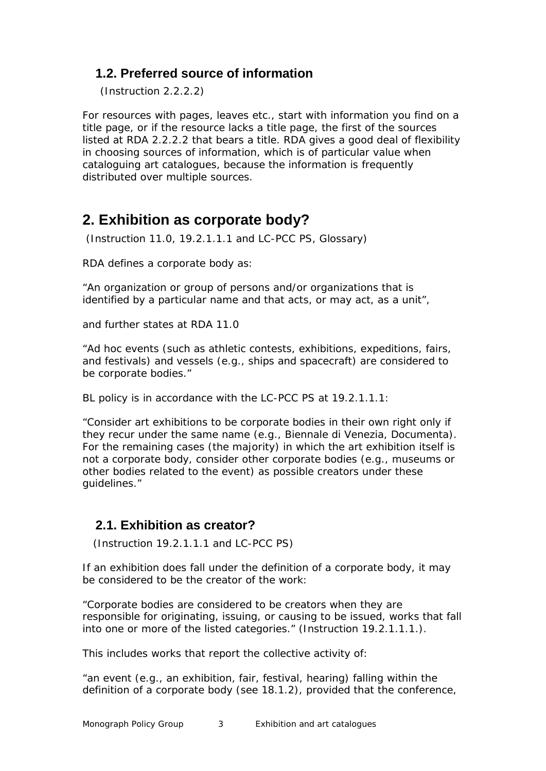### <span id="page-2-0"></span>**1.2. Preferred source of information**

(Instruction 2.2.2.2)

For resources with pages, leaves etc., start with information you find on a title page, or if the resource lacks a title page, the first of the sources listed at RDA 2.2.2.2 that bears a title. RDA gives a good deal of flexibility in choosing sources of information, which is of particular value when cataloguing art catalogues, because the information is frequently distributed over multiple sources.

# <span id="page-2-1"></span>**2. Exhibition as corporate body?**

(Instruction 11.0, 19.2.1.1.1 and LC-PCC PS, Glossary)

RDA defines a corporate body as:

*"An organization or group of persons and/or organizations that is identified by a particular name and that acts, or may act, as a unit"*,

and further states at RDA 11.0

*"Ad hoc events (such as athletic contests, exhibitions, expeditions, fairs, and festivals) and vessels (e.g., ships and spacecraft) are considered to be corporate bodies."*

BL policy is in accordance with the LC-PCC PS at 19.2.1.1.1:

*"Consider art exhibitions to be corporate bodies in their own right only if they recur under the same name (e.g., Biennale di Venezia, Documenta). For the remaining cases (the majority) in which the art exhibition itself is not a corporate body, consider other corporate bodies (e.g., museums or other bodies related to the event) as possible creators under these guidelines."*

### <span id="page-2-2"></span>**2.1. Exhibition as creator?**

(Instruction 19.2.1.1.1 and LC-PCC PS)

If an exhibition does fall under the definition of a corporate body, it may be considered to be the creator of the work:

*"Corporate bodies are considered to be creators when they are responsible for originating, issuing, or causing to be issued, works that fall into one or more of the listed categories."* (Instruction 19.2.1.1.1.).

This includes works that report the collective activity of:

*"an event (e.g., an exhibition, fair, festival, hearing) falling within the definition of a corporate body (see 18.1.2), provided that the conference,*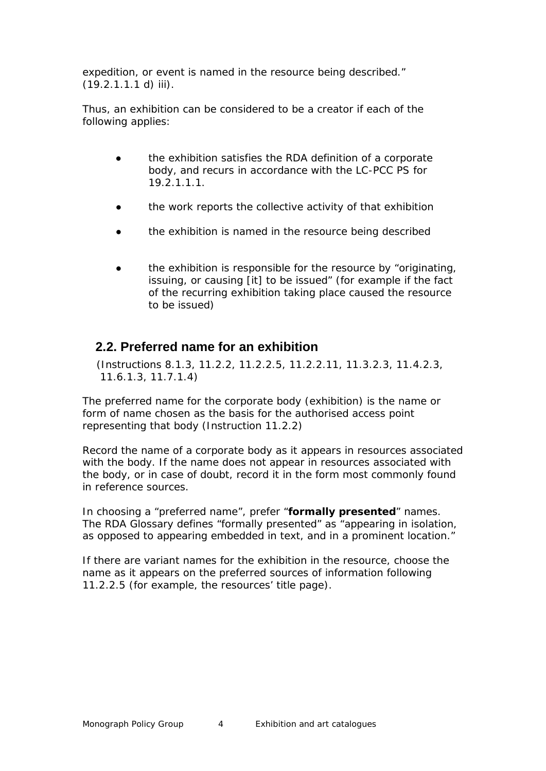*expedition, or event is named in the resource being described."*   $(19.2.1.1.1 d)$  iii).

Thus, an exhibition can be considered to be a creator if each of the following applies:

- the exhibition satisfies the RDA definition of a corporate body, and recurs in accordance with the LC-PCC PS for 19.2.1.1.1.
- the work reports the collective activity of that exhibition
- the exhibition is named in the resource being described
- the exhibition is responsible for the resource by *"originating, issuing, or causing [it] to be issued"* (for example if the fact of the recurring exhibition taking place caused the resource to be issued)

#### <span id="page-3-0"></span>**2.2. Preferred name for an exhibition**

 (Instructions 8.1.3, 11.2.2, 11.2.2.5, 11.2.2.11, 11.3.2.3, 11.4.2.3, 11.6.1.3, 11.7.1.4)

The preferred name for the corporate body (exhibition) is the name or form of name chosen as the basis for the authorised access point representing that body (Instruction 11.2.2)

Record the name of a corporate body as it appears in resources associated with the body. If the name does not appear in resources associated with the body, or in case of doubt, record it in the form most commonly found in reference sources.

In choosing a "preferred name", prefer "**formally presented**" names. The RDA Glossary defines "formally presented" as *"appearing in isolation, as opposed to appearing embedded in text, and in a prominent location."*

If there are variant names for the exhibition in the resource, choose the name as it appears on the preferred sources of information following 11.2.2.5 (for example, the resources' title page).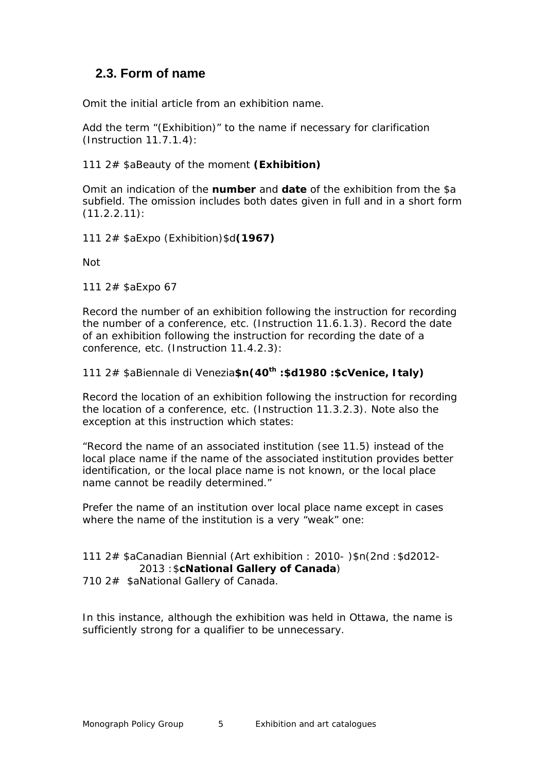### <span id="page-4-0"></span>**2.3. Form of name**

Omit the initial article from an exhibition name.

Add the term "(Exhibition)" to the name if necessary for clarification (Instruction 11.7.1.4):

111 2# \$aBeauty of the moment **(Exhibition)**

Omit an indication of the **number** and **date** of the exhibition from the \$a subfield. The omission includes both dates given in full and in a short form (11.2.2.11):

111 2# \$aExpo (Exhibition)\$d**(1967)**

*Not*

111 2# \$aExpo 67

Record the number of an exhibition following the instruction for recording the number of a conference, etc. (Instruction 11.6.1.3). Record the date of an exhibition following the instruction for recording the date of a conference, etc. (Instruction 11.4.2.3):

111 2# \$aBiennale di Venezia**\$n(40th :\$d1980 :\$cVenice, Italy)**

Record the location of an exhibition following the instruction for recording the location of a conference, etc. (Instruction 11.3.2.3). Note also the exception at this instruction which states:

*"Record the name of an associated institution (see 11.5) instead of the local place name if the name of the associated institution provides better identification, or the local place name is not known, or the local place name cannot be readily determined."*

Prefer the name of an institution over local place name except in cases where the name of the institution is a very "weak" one:

#### 111 2# \$aCanadian Biennial (Art exhibition : 2010- )\$n(2nd :\$d2012- 2013 :\$**cNational Gallery of Canada**)

710 2# \$aNational Gallery of Canada.

In this instance, although the exhibition was held in Ottawa, the name is sufficiently strong for a qualifier to be unnecessary.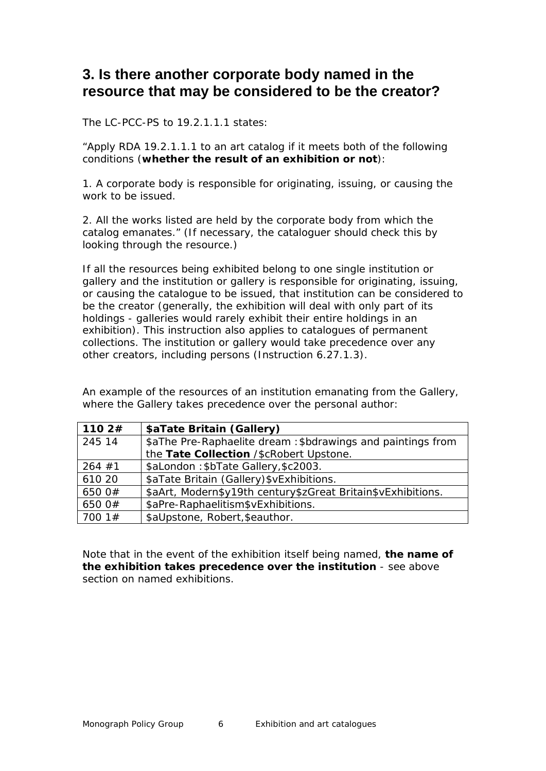# <span id="page-5-0"></span>**3. Is there another corporate body named in the resource that may be considered to be the creator?**

The LC-PCC-PS to 19.2.1.1.1 states:

*"Apply RDA 19.2.1.1.1 to an art catalog if it meets both of the following conditions (whether the result of an exhibition or not):*

*1. A corporate body is responsible for originating, issuing, or causing the work to be issued.*

*2. All the works listed are held by the corporate body from which the catalog emanates."* (If necessary, the cataloguer should check this by looking through the resource.)

If all the resources being exhibited belong to one single institution or gallery and the institution or gallery is responsible for originating, issuing, or causing the catalogue to be issued, that institution can be considered to be the creator (generally, the exhibition will deal with only part of its holdings - galleries would rarely exhibit their entire holdings in an exhibition). This instruction also applies to catalogues of permanent collections. The institution or gallery would take precedence over any other creators, including persons (Instruction 6.27.1.3).

An example of the resources of an institution emanating from the Gallery, where the Gallery takes precedence over the personal author:

| 1102#    | \$aTate Britain (Gallery)                                    |
|----------|--------------------------------------------------------------|
| 245 14   | \$aThe Pre-Raphaelite dream: \$bdrawings and paintings from  |
|          | the Tate Collection /\$cRobert Upstone.                      |
| $264$ #1 | \$aLondon: \$bTate Gallery, \$c2003.                         |
| 610 20   | \$aTate Britain (Gallery) \$vExhibitions.                    |
| 650 0#   | \$aArt, Modern\$y19th century\$zGreat Britain\$vExhibitions. |
| 650 0#   | \$aPre-Raphaelitism\$vExhibitions.                           |
| 17001#   | \$aUpstone, Robert, \$eauthor.                               |

Note that in the event of the exhibition itself being named, **the name of the exhibition takes precedence over the institution** - see above section on named exhibitions.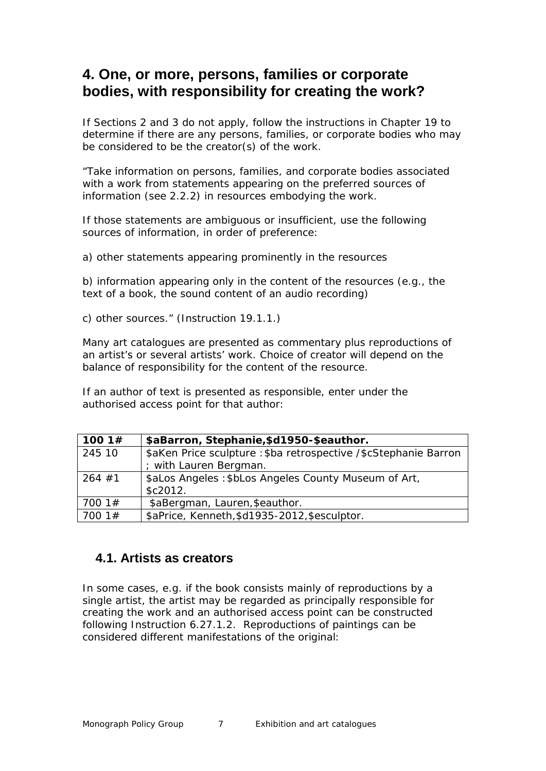# <span id="page-6-0"></span>**4. One, or more, persons, families or corporate bodies, with responsibility for creating the work?**

If Sections 2 and 3 do not apply, follow the instructions in Chapter 19 to determine if there are any persons, families, or corporate bodies who may be considered to be the creator(s) of the work.

*"Take information on persons, families, and corporate bodies associated with a work from statements appearing on the preferred sources of information (see 2.2.2) in resources embodying the work.*

*If those statements are ambiguous or insufficient, use the following sources of information, in order of preference:*

*a) other statements appearing prominently in the resources*

*b) information appearing only in the content of the resources (e.g., the text of a book, the sound content of an audio recording)*

*c) other sources."* (Instruction 19.1.1.)

Many art catalogues are presented as commentary plus reproductions of an artist's or several artists' work. Choice of creator will depend on the balance of responsibility for the content of the resource.

If an author of text is presented as responsible, enter under the authorised access point for that author:

| 100 1 $#$ | \$aBarron, Stephanie, \$d1950-\$eauthor.                          |
|-----------|-------------------------------------------------------------------|
| 245 10    | \$aKen Price sculpture : \$ba retrospective / \$cStephanie Barron |
|           | ; with Lauren Bergman.                                            |
| $264$ #1  | \$aLos Angeles: \$bLos Angeles County Museum of Art,              |
|           | \$c2012.                                                          |
| 7001#     | \$aBergman, Lauren, \$eauthor.                                    |
| 7001#     | \$aPrice, Kenneth, \$d1935-2012, \$esculptor.                     |

#### <span id="page-6-1"></span>**4.1. Artists as creators**

In some cases, e.g. if the book consists mainly of reproductions by a single artist, the artist may be regarded as principally responsible for creating the work and an authorised access point can be constructed following Instruction 6.27.1.2. Reproductions of paintings can be considered different manifestations of the original: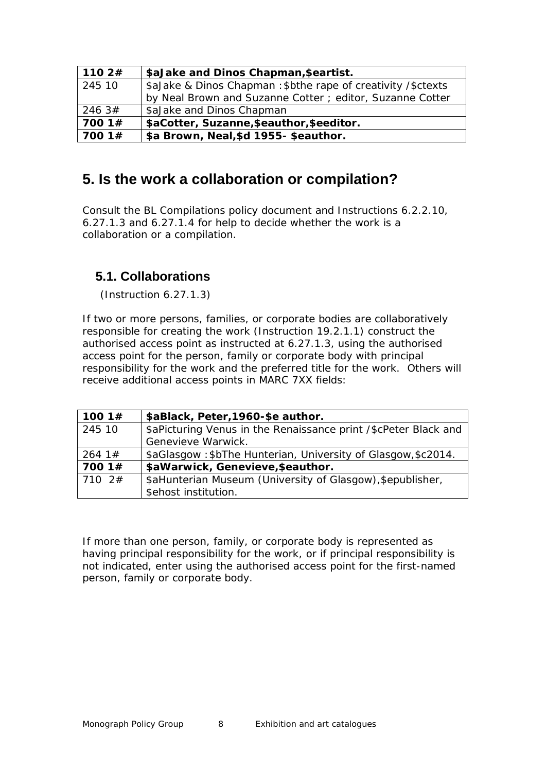| 1102#  | \$aJake and Dinos Chapman, \$eartist.                         |
|--------|---------------------------------------------------------------|
| 245 10 | \$aJake & Dinos Chapman: \$bthe rape of creativity / \$ctexts |
|        | by Neal Brown and Suzanne Cotter ; editor, Suzanne Cotter     |
| 246 3# | \$aJake and Dinos Chapman                                     |
| 700 1# | \$aCotter, Suzanne, \$eauthor, \$eeditor.                     |
| 7001#  | \$a Brown, Neal, \$d 1955- \$eauthor.                         |

# <span id="page-7-0"></span>**5. Is the work a collaboration or compilation?**

Consult the BL Compilations policy document and Instructions 6.2.2.10, 6.27.1.3 and 6.27.1.4 for help to decide whether the work is a collaboration or a compilation.

## <span id="page-7-1"></span>**5.1. Collaborations**

(Instruction 6.27.1.3)

If two or more persons, families, or corporate bodies are collaboratively responsible for creating the work (Instruction 19.2.1.1) construct the authorised access point as instructed at 6.27.1.3, using the authorised access point for the person, family or corporate body with principal responsibility for the work and the preferred title for the work. Others will receive additional access points in MARC 7XX fields:

| 100 1 $#$  | \$aBlack, Peter, 1960-\$e author.                               |
|------------|-----------------------------------------------------------------|
| 245 10     | \$aPicturing Venus in the Renaissance print /\$cPeter Black and |
|            | Genevieve Warwick.                                              |
| 264.1#     | \$aGlasgow: \$bThe Hunterian, University of Glasgow, \$c2014.   |
| 700 1#     | \$aWarwick, Genevieve, \$eauthor.                               |
| $710 \t2#$ | \$aHunterian Museum (University of Glasgow), \$epublisher,      |
|            | \$ehost institution.                                            |

If more than one person, family, or corporate body is represented as having principal responsibility for the work, or if principal responsibility is not indicated, enter using the authorised access point for the first-named person, family or corporate body.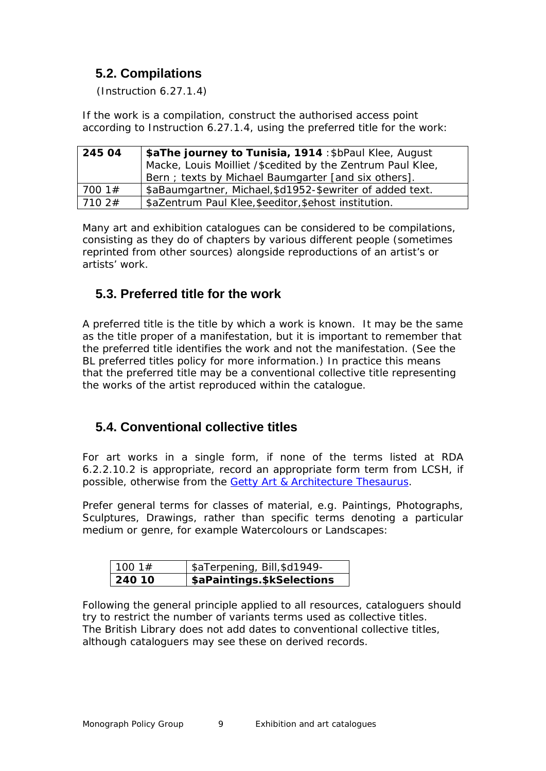## <span id="page-8-0"></span>**5.2. Compilations**

(Instruction 6.27.1.4)

If the work is a compilation, construct the authorised access point according to Instruction 6.27.1.4, using the preferred title for the work:

| 245 04 | \$aThe journey to Tunisia, 1914 : \$bPaul Klee, August<br>Macke, Louis Moilliet /\$cedited by the Zentrum Paul Klee,<br>Bern; texts by Michael Baumgarter [and six others]. |
|--------|-----------------------------------------------------------------------------------------------------------------------------------------------------------------------------|
| 700 1# | \$aBaumgartner, Michael, \$d1952-\$ewriter of added text.                                                                                                                   |
| 710.2# | \$aZentrum Paul Klee, \$eeditor, \$ehost institution.                                                                                                                       |

Many art and exhibition catalogues can be considered to be compilations, consisting as they do of chapters by various different people (sometimes reprinted from other sources) alongside reproductions of an artist's or artists' work.

## <span id="page-8-1"></span>**5.3. Preferred title for the work**

A preferred title is the title by which a work is known. It may be the same as the title proper of a manifestation, but it is important to remember that the preferred title identifies the work and not the manifestation. (See the BL preferred titles policy for more information.) In practice this means that the preferred title may be a conventional collective title representing the works of the artist reproduced within the catalogue.

## <span id="page-8-2"></span>**5.4. Conventional collective titles**

For art works in a single form, if none of the terms listed at RDA 6.2.2.10.2 is appropriate, record an appropriate form term from LCSH, if possible, otherwise from the [Getty Art & Architecture Thesaurus.](http://www.getty.edu/research/tools/vocabularies/aat/)

Prefer general terms for classes of material, e.g. Paintings, Photographs, Sculptures, Drawings, rather than specific terms denoting a particular medium or genre, for example Watercolours or Landscapes:

| 11001#        | \$aTerpening, Bill, \$d1949- |
|---------------|------------------------------|
| $\mid$ 240 10 | \$aPaintings.\$kSelections   |

Following the general principle applied to all resources, cataloguers should try to restrict the number of variants terms used as collective titles. The British Library does not add dates to conventional collective titles, although cataloguers may see these on derived records.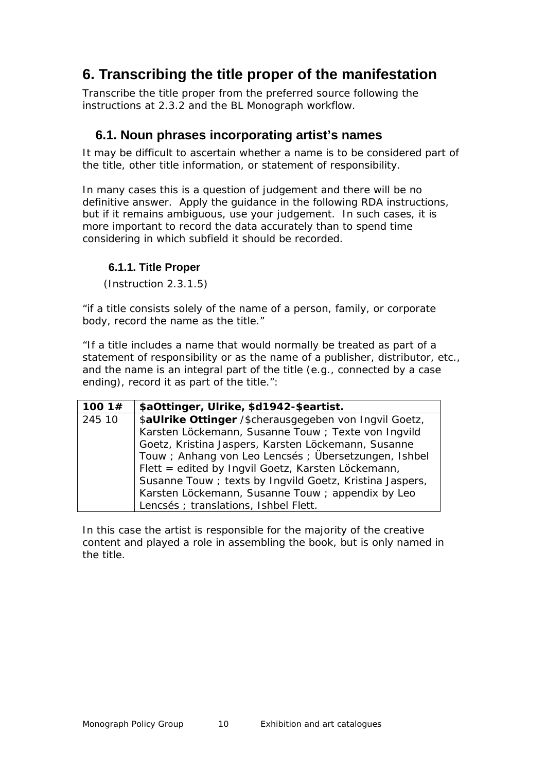# <span id="page-9-0"></span>**6. Transcribing the title proper of the manifestation**

Transcribe the title proper from the preferred source following the instructions at 2.3.2 and the BL Monograph workflow.

### <span id="page-9-1"></span>**6.1. Noun phrases incorporating artist's names**

It may be difficult to ascertain whether a name is to be considered part of the title, other title information, or statement of responsibility.

In many cases this is a question of judgement and there will be no definitive answer. Apply the guidance in the following RDA instructions, but if it remains ambiguous, use your judgement. In such cases, it is more important to record the data accurately than to spend time considering in which subfield it should be recorded.

#### <span id="page-9-2"></span>**6.1.1. Title Proper**

(Instruction 2.3.1.5)

*"if a title consists solely of the name of a person, family, or corporate body, record the name as the title."*

*"If a title includes a name that would normally be treated as part of a statement of responsibility or as the name of a publisher, distributor, etc., and the name is an integral part of the title (e.g., connected by a case ending), record it as part of the title."*:

| 100 1 $#$ | \$aOttinger, Ulrike, \$d1942-\$eartist.                  |
|-----------|----------------------------------------------------------|
| 245 10    | \$aUIrike Ottinger /\$cherausgegeben von Ingvil Goetz,   |
|           | Karsten Löckemann, Susanne Touw ; Texte von Ingvild      |
|           | Goetz, Kristina Jaspers, Karsten Löckemann, Susanne      |
|           | Touw; Anhang von Leo Lencsés; Übersetzungen, Ishbel      |
|           | Flett = edited by Ingvil Goetz, Karsten Löckemann,       |
|           | Susanne Touw ; texts by Ingvild Goetz, Kristina Jaspers, |
|           | Karsten Löckemann, Susanne Touw ; appendix by Leo        |
|           | Lencsés ; translations, Ishbel Flett.                    |

In this case the artist is responsible for the majority of the creative content and played a role in assembling the book, but is only named in the title.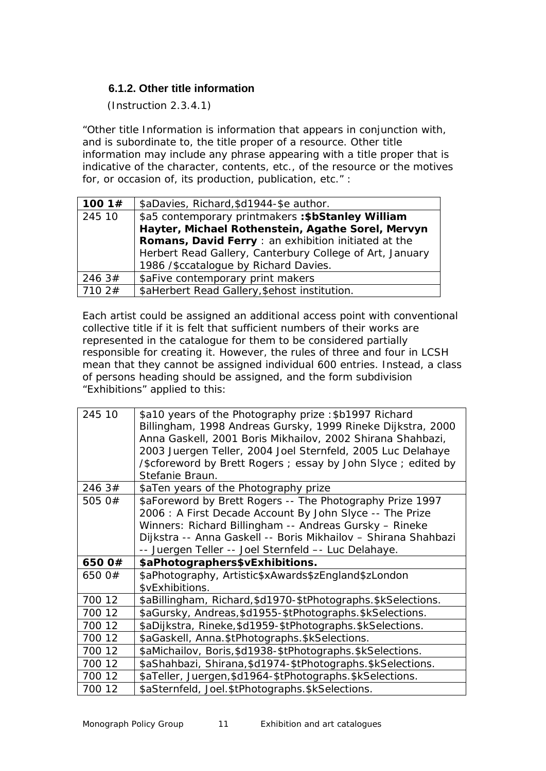#### <span id="page-10-0"></span>**6.1.2. Other title information**

(Instruction 2.3.4.1)

*"Other title Information is information that appears in conjunction with, and is subordinate to, the title proper of a resource. Other title information may include any phrase appearing with a title proper that is indicative of the character, contents, etc., of the resource or the motives for, or occasion of, its production, publication, etc."* :

| 100 $1#$ | \$aDavies, Richard, \$d1944-\$e author.                  |
|----------|----------------------------------------------------------|
| 245 10   | \$a5 contemporary printmakers : \$bStanley William       |
|          | Hayter, Michael Rothenstein, Agathe Sorel, Mervyn        |
|          | Romans, David Ferry : an exhibition initiated at the     |
|          | Herbert Read Gallery, Canterbury College of Art, January |
|          | 1986 /\$ccatalogue by Richard Davies.                    |
| 246.3#   | \$aFive contemporary print makers                        |
| 710.2#   | \$aHerbert Read Gallery, \$ehost institution.            |

Each artist could be assigned an additional access point with conventional collective title if it is felt that sufficient numbers of their works are represented in the catalogue for them to be considered partially responsible for creating it. However, the rules of three and four in LCSH mean that they cannot be assigned individual 600 entries. Instead, a class of persons heading should be assigned, and the form subdivision "Exhibitions" applied to this:

| 245 10 | \$a10 years of the Photography prize: \$b1997 Richard<br>Billingham, 1998 Andreas Gursky, 1999 Rineke Dijkstra, 2000<br>Anna Gaskell, 2001 Boris Mikhailov, 2002 Shirana Shahbazi,<br>2003 Juergen Teller, 2004 Joel Sternfeld, 2005 Luc Delahaye<br>/\$cforeword by Brett Rogers; essay by John Slyce; edited by<br>Stefanie Braun. |
|--------|--------------------------------------------------------------------------------------------------------------------------------------------------------------------------------------------------------------------------------------------------------------------------------------------------------------------------------------|
| 246 3# | \$aTen years of the Photography prize                                                                                                                                                                                                                                                                                                |
| 505 0# | \$aForeword by Brett Rogers -- The Photography Prize 1997<br>2006 : A First Decade Account By John Slyce -- The Prize<br>Winners: Richard Billingham -- Andreas Gursky - Rineke<br>Dijkstra -- Anna Gaskell -- Boris Mikhailov - Shirana Shahbazi<br>-- Juergen Teller -- Joel Sternfeld -- Luc Delahaye.                            |
| 650 0# | \$aPhotographers\$vExhibitions.                                                                                                                                                                                                                                                                                                      |
| 650 0# | \$aPhotography, Artistic\$xAwards\$zEngland\$zLondon<br>\$vExhibitions.                                                                                                                                                                                                                                                              |
| 700 12 | \$aBillingham, Richard, \$d1970-\$tPhotographs. \$kSelections.                                                                                                                                                                                                                                                                       |
| 700 12 | \$aGursky, Andreas, \$d1955-\$tPhotographs. \$kSelections.                                                                                                                                                                                                                                                                           |
| 700 12 | \$aDijkstra, Rineke, \$d1959-\$tPhotographs. \$kSelections.                                                                                                                                                                                                                                                                          |
|        |                                                                                                                                                                                                                                                                                                                                      |
| 700 12 | \$aGaskell, Anna.\$tPhotographs.\$kSelections.                                                                                                                                                                                                                                                                                       |
| 700 12 | \$aMichailov, Boris, \$d1938-\$tPhotographs. \$kSelections.                                                                                                                                                                                                                                                                          |
| 700 12 | \$aShahbazi, Shirana, \$d1974-\$tPhotographs. \$kSelections.                                                                                                                                                                                                                                                                         |
| 700 12 | \$aTeller, Juergen, \$d1964-\$tPhotographs. \$kSelections.                                                                                                                                                                                                                                                                           |
| 700 12 | \$aSternfeld, Joel.\$tPhotographs.\$kSelections.                                                                                                                                                                                                                                                                                     |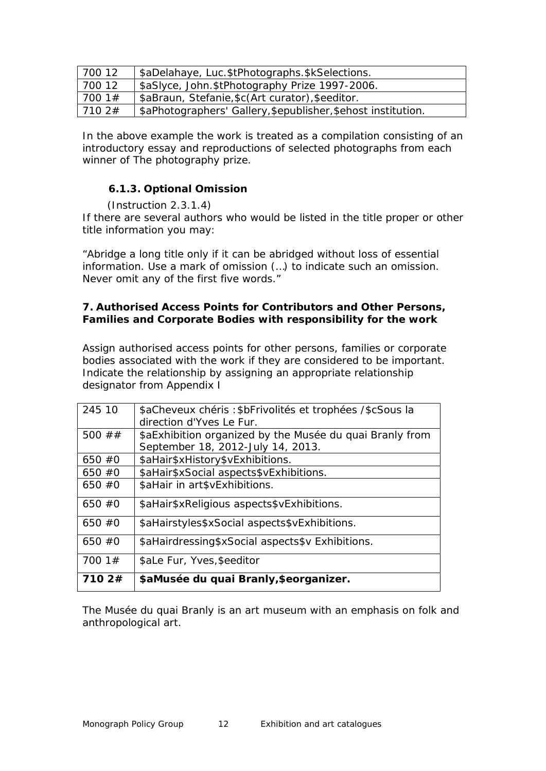| 700 12 | \$aDelahaye, Luc.\$tPhotographs.\$kSelections.                |
|--------|---------------------------------------------------------------|
| 700 12 | \$aSIyce, John.\$tPhotography Prize 1997-2006.                |
| 700 1# | \$aBraun, Stefanie, \$c(Art curator), \$eeditor.              |
| 7102#  | \$aPhotographers' Gallery, \$epublisher, \$ehost institution. |

In the above example the work is treated as a compilation consisting of an introductory essay and reproductions of selected photographs from each winner of *The photography prize*.

#### <span id="page-11-0"></span>**6.1.3. Optional Omission**

(Instruction 2.3.1.4)

If there are several authors who would be listed in the title proper or other title information you may:

*"Abridge a long title only if it can be abridged without loss of essential information. Use a mark of omission (…) to indicate such an omission. Never omit any of the first five words."*

#### <span id="page-11-1"></span>**7. Authorised Access Points for Contributors and Other Persons, Families and Corporate Bodies with responsibility for the work**

Assign authorised access points for other persons, families or corporate bodies associated with the work if they are considered to be important. Indicate the relationship by assigning an appropriate relationship designator from Appendix I

| 245 10     | \$aCheveux chéris : \$bFrivolités et trophées / \$cSous la<br>direction d'Yves Le Fur. |
|------------|----------------------------------------------------------------------------------------|
| 500 $\#$ # | \$aExhibition organized by the Musée du quai Branly from                               |
|            | September 18, 2012-July 14, 2013.                                                      |
| 650#0      | \$aHair\$xHistory\$vExhibitions.                                                       |
| 650#0      | \$aHair\$xSocial aspects\$vExhibitions.                                                |
| $650 \#0$  | \$aHair in art\$vExhibitions.                                                          |
| $650 \#0$  | \$aHair\$xReligious aspects\$vExhibitions.                                             |
| $650 \#0$  | \$aHairstyles\$xSocial aspects\$vExhibitions.                                          |
| $650 \#0$  | \$aHairdressing\$xSocial aspects\$v Exhibitions.                                       |
| 700 $1#$   | \$aLe Fur, Yves, \$eeditor                                                             |
| 710 2#     | \$aMusée du quai Branly, \$eorganizer.                                                 |

The Musée du quai Branly is an art museum with an emphasis on folk and anthropological art.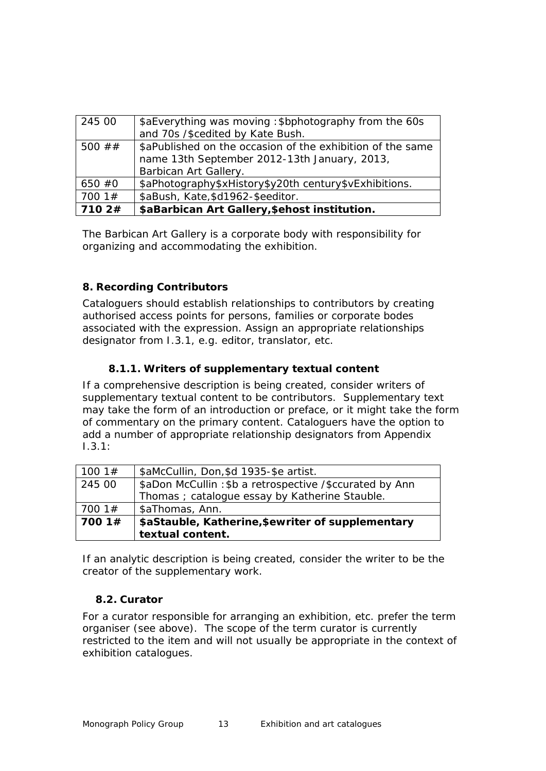| 245 00     | \$aEverything was moving : \$bphotography from the 60s<br>and 70s /\$cedited by Kate Bush.                                          |
|------------|-------------------------------------------------------------------------------------------------------------------------------------|
| 500 $\#$ # | \$aPublished on the occasion of the exhibition of the same<br>name 13th September 2012-13th January, 2013,<br>Barbican Art Gallery. |
| $650 \#0$  | \$aPhotography\$xHistory\$y20th century\$vExhibitions.                                                                              |
| 7001#      | \$aBush, Kate, \$d1962-\$eeditor.                                                                                                   |
| 7102#      | \$aBarbican Art Gallery, \$ehost institution.                                                                                       |

The Barbican Art Gallery is a corporate body with responsibility for organizing and accommodating the exhibition.

#### <span id="page-12-0"></span>**8. Recording Contributors**

Cataloguers should establish relationships to contributors by creating authorised access points for persons, families or corporate bodes associated with the expression. Assign an appropriate relationships designator from I.3.1, e.g. editor, translator, etc.

#### **8.1.1. Writers of supplementary textual content**

<span id="page-12-1"></span>If a comprehensive description is being created, consider writers of supplementary textual content to be contributors. Supplementary text may take the form of an introduction or preface, or it might take the form of commentary on the primary content. Cataloguers have the option to add a number of appropriate relationship designators from Appendix I.3.1:

| 100 1 $#$ | \$aMcCullin, Don, \$d 1935-\$e artist.                  |
|-----------|---------------------------------------------------------|
| 245 00    | \$aDon McCullin: \$b a retrospective /\$ccurated by Ann |
|           | Thomas ; catalogue essay by Katherine Stauble.          |
| 7001#     | \$aThomas, Ann.                                         |
| 7001#     | \$aStauble, Katherine, \$ewriter of supplementary       |
|           | textual content.                                        |

If an analytic description is being created, consider the writer to be the creator of the supplementary work.

#### <span id="page-12-2"></span>**8.2. Curator**

For a curator responsible for arranging an exhibition, etc. prefer the term organiser (see above). The scope of the term curator is currently restricted to the item and will not usually be appropriate in the context of exhibition catalogues.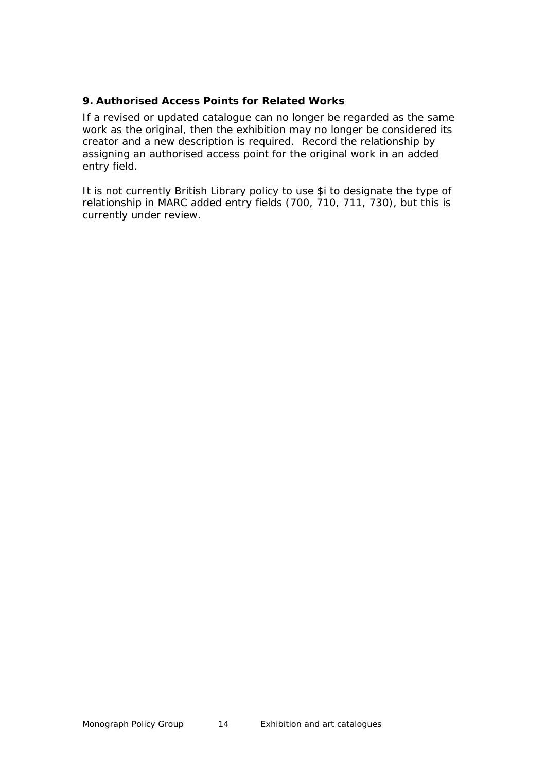#### <span id="page-13-0"></span>**9. Authorised Access Points for Related Works**

If a revised or updated catalogue can no longer be regarded as the same work as the original, then the exhibition may no longer be considered its creator and a new description is required. Record the relationship by assigning an authorised access point for the original work in an added entry field.

It is not currently British Library policy to use \$i to designate the type of relationship in MARC added entry fields (700, 710, 711, 730), but this is currently under review.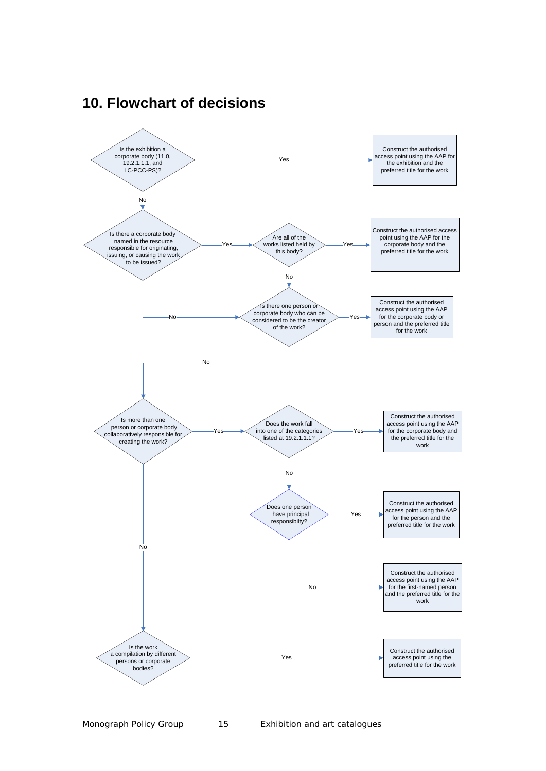

## <span id="page-14-0"></span>**10. Flowchart of decisions**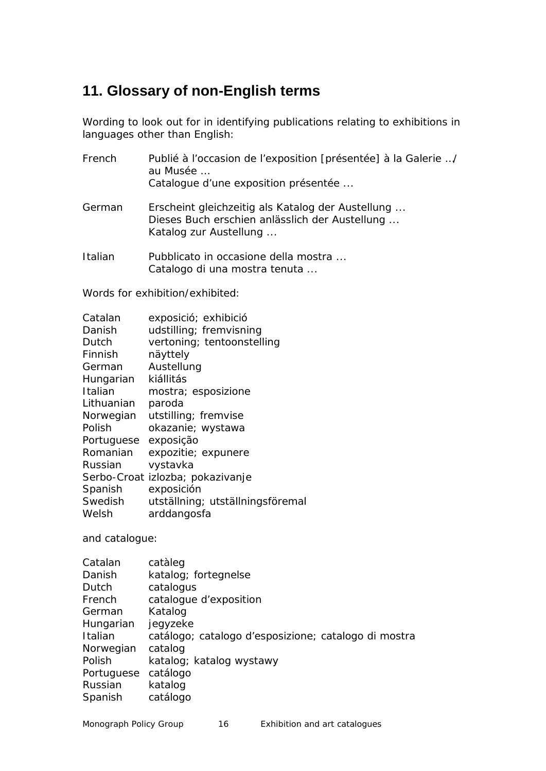# <span id="page-15-0"></span>**11. Glossary of non-English terms**

Wording to look out for in identifying publications relating to exhibitions in languages other than English:

| French  | Publié à l'occasion de l'exposition [présentée] à la Galerie /<br>au Musée<br>Catalogue d'une exposition présentée            |
|---------|-------------------------------------------------------------------------------------------------------------------------------|
| German  | Erscheint gleichzeitig als Katalog der Austellung<br>Dieses Buch erschien anlässlich der Austellung<br>Katalog zur Austellung |
| Italian | Pubblicato in occasione della mostra                                                                                          |

Italian Pubblicato in occasione della mostra ... Catalogo di una mostra tenuta ...

Words for exhibition/exhibited:

| Catalan    | exposició; exhibició             |
|------------|----------------------------------|
| Danish     | udstilling; fremvisning          |
| Dutch      | vertoning; tentoonstelling       |
| Finnish    | näyttely                         |
| German     | Austellung                       |
| Hungarian  | kiállitás                        |
| Italian    | mostra; esposizione              |
| Lithuanian | paroda                           |
| Norwegian  | utstilling; fremvise             |
| Polish     | okazanie; wystawa                |
| Portuguese | exposição                        |
| Romanian   | expozitie; expunere              |
| Russian    | vystavka                         |
|            | Serbo-Croat izlozba; pokazivanje |
| Spanish    | exposición                       |
| Swedish    | utställning; utställningsföremal |
| Welsh      | arddangosfa                      |
|            |                                  |

and catalogue:

| Catalan    | catàleg                                              |
|------------|------------------------------------------------------|
| Danish     | katalog; fortegnelse                                 |
| Dutch      | catalogus                                            |
| French     | catalogue d'exposition                               |
| German     | Katalog                                              |
| Hungarian  | jegyzeke                                             |
| Italian    | catálogo; catalogo d'esposizione; catalogo di mostra |
| Norwegian  | catalog                                              |
| Polish     | katalog; katalog wystawy                             |
| Portuguese | catálogo                                             |
| Russian    | katalog                                              |
| Spanish    | catálogo                                             |